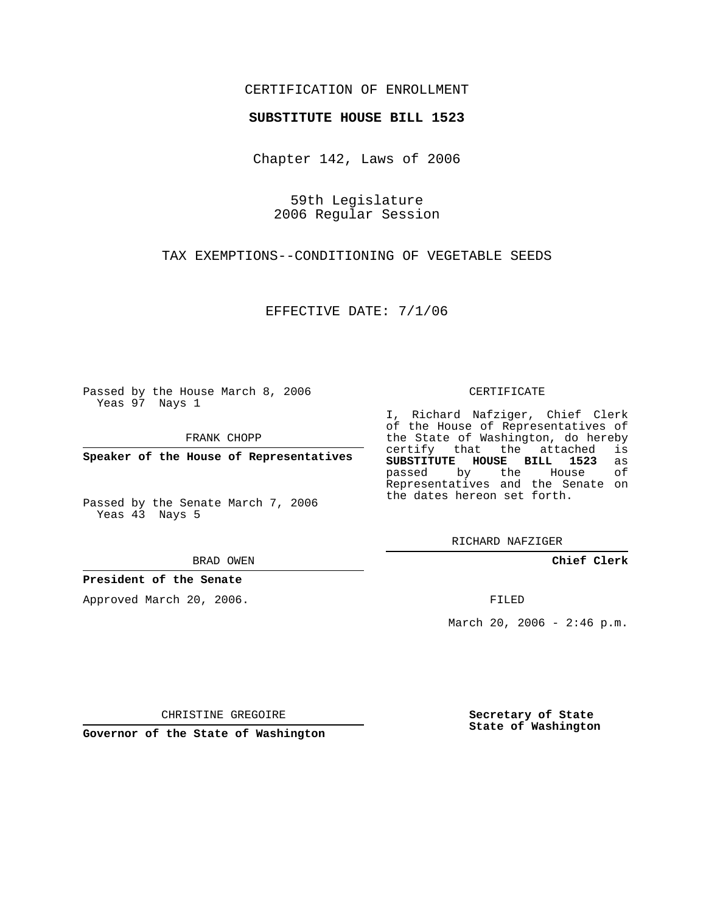## CERTIFICATION OF ENROLLMENT

### **SUBSTITUTE HOUSE BILL 1523**

Chapter 142, Laws of 2006

59th Legislature 2006 Regular Session

TAX EXEMPTIONS--CONDITIONING OF VEGETABLE SEEDS

EFFECTIVE DATE: 7/1/06

Passed by the House March 8, 2006 Yeas 97 Nays 1

FRANK CHOPP

**Speaker of the House of Representatives**

Passed by the Senate March 7, 2006 Yeas 43 Nays 5

BRAD OWEN

**President of the Senate**

Approved March 20, 2006.

CERTIFICATE

I, Richard Nafziger, Chief Clerk of the House of Representatives of the State of Washington, do hereby<br>certify that the attached is certify that the attached **SUBSTITUTE HOUSE BILL 1523** as passed by the House Representatives and the Senate on the dates hereon set forth.

RICHARD NAFZIGER

**Chief Clerk**

FILED

March 20, 2006 -  $2:46$  p.m.

CHRISTINE GREGOIRE

**Governor of the State of Washington**

**Secretary of State State of Washington**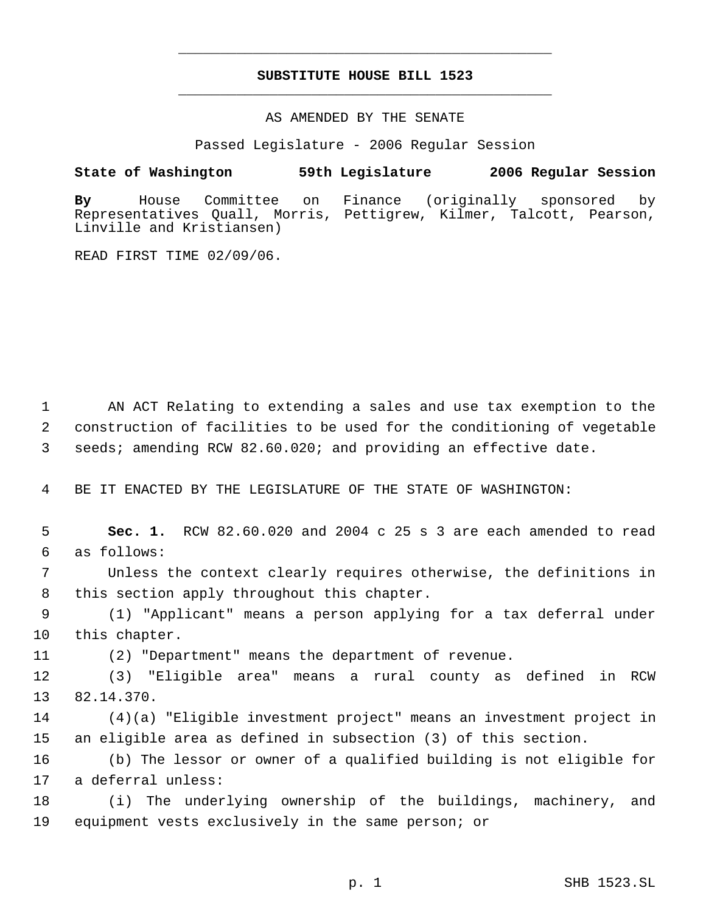# **SUBSTITUTE HOUSE BILL 1523** \_\_\_\_\_\_\_\_\_\_\_\_\_\_\_\_\_\_\_\_\_\_\_\_\_\_\_\_\_\_\_\_\_\_\_\_\_\_\_\_\_\_\_\_\_

\_\_\_\_\_\_\_\_\_\_\_\_\_\_\_\_\_\_\_\_\_\_\_\_\_\_\_\_\_\_\_\_\_\_\_\_\_\_\_\_\_\_\_\_\_

### AS AMENDED BY THE SENATE

Passed Legislature - 2006 Regular Session

### **State of Washington 59th Legislature 2006 Regular Session**

**By** House Committee on Finance (originally sponsored by Representatives Quall, Morris, Pettigrew, Kilmer, Talcott, Pearson, Linville and Kristiansen)

READ FIRST TIME 02/09/06.

 AN ACT Relating to extending a sales and use tax exemption to the construction of facilities to be used for the conditioning of vegetable seeds; amending RCW 82.60.020; and providing an effective date.

BE IT ENACTED BY THE LEGISLATURE OF THE STATE OF WASHINGTON:

 **Sec. 1.** RCW 82.60.020 and 2004 c 25 s 3 are each amended to read as follows:

 Unless the context clearly requires otherwise, the definitions in this section apply throughout this chapter.

 (1) "Applicant" means a person applying for a tax deferral under this chapter.

(2) "Department" means the department of revenue.

 (3) "Eligible area" means a rural county as defined in RCW 82.14.370.

 (4)(a) "Eligible investment project" means an investment project in an eligible area as defined in subsection (3) of this section.

 (b) The lessor or owner of a qualified building is not eligible for a deferral unless:

 (i) The underlying ownership of the buildings, machinery, and equipment vests exclusively in the same person; or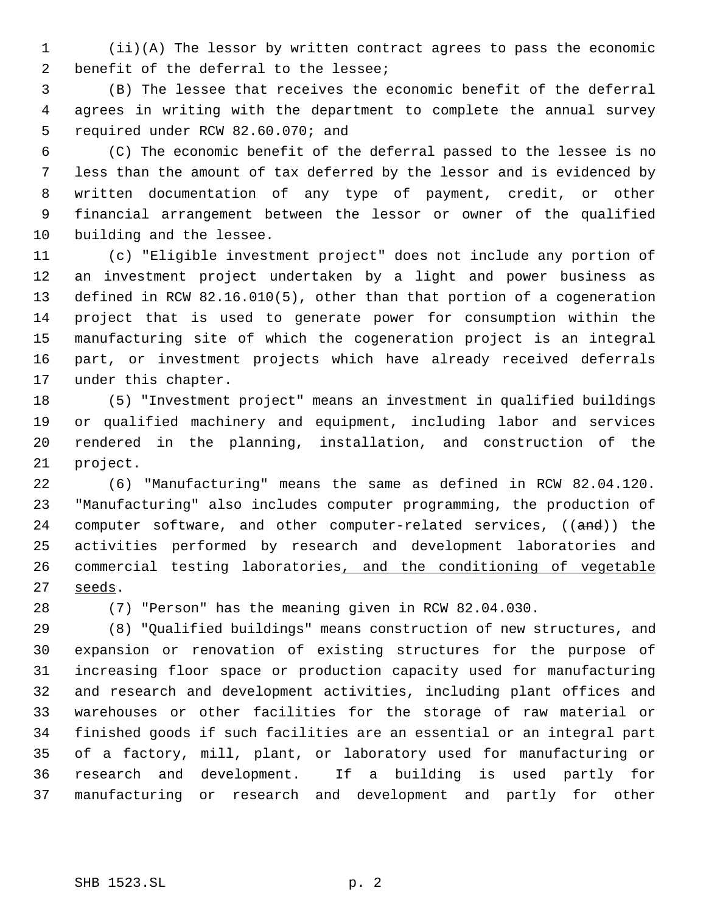(ii)(A) The lessor by written contract agrees to pass the economic benefit of the deferral to the lessee;

 (B) The lessee that receives the economic benefit of the deferral agrees in writing with the department to complete the annual survey required under RCW 82.60.070; and

 (C) The economic benefit of the deferral passed to the lessee is no less than the amount of tax deferred by the lessor and is evidenced by written documentation of any type of payment, credit, or other financial arrangement between the lessor or owner of the qualified building and the lessee.

 (c) "Eligible investment project" does not include any portion of an investment project undertaken by a light and power business as defined in RCW 82.16.010(5), other than that portion of a cogeneration project that is used to generate power for consumption within the manufacturing site of which the cogeneration project is an integral part, or investment projects which have already received deferrals under this chapter.

 (5) "Investment project" means an investment in qualified buildings or qualified machinery and equipment, including labor and services rendered in the planning, installation, and construction of the project.

 (6) "Manufacturing" means the same as defined in RCW 82.04.120. "Manufacturing" also includes computer programming, the production of 24 computer software, and other computer-related services, ((and)) the activities performed by research and development laboratories and commercial testing laboratories, and the conditioning of vegetable seeds.

(7) "Person" has the meaning given in RCW 82.04.030.

 (8) "Qualified buildings" means construction of new structures, and expansion or renovation of existing structures for the purpose of increasing floor space or production capacity used for manufacturing and research and development activities, including plant offices and warehouses or other facilities for the storage of raw material or finished goods if such facilities are an essential or an integral part of a factory, mill, plant, or laboratory used for manufacturing or research and development. If a building is used partly for manufacturing or research and development and partly for other